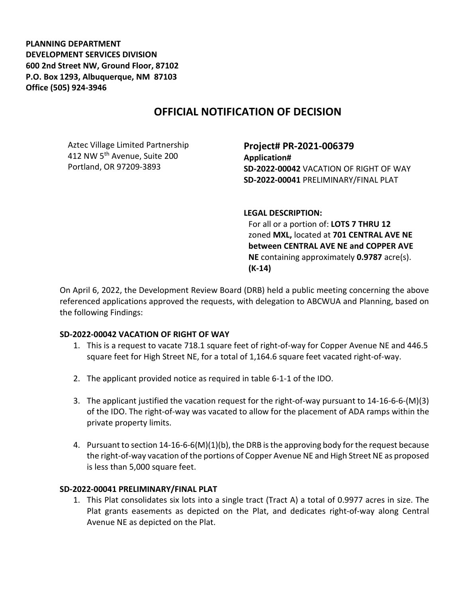**PLANNING DEPARTMENT DEVELOPMENT SERVICES DIVISION 600 2nd Street NW, Ground Floor, 87102 P.O. Box 1293, Albuquerque, NM 87103 Office (505) 924-3946** 

# **OFFICIAL NOTIFICATION OF DECISION**

Aztec Village Limited Partnership 412 NW 5<sup>th</sup> Avenue, Suite 200 Portland, OR 97209-3893

**Project# PR-2021-006379 Application# SD-2022-00042** VACATION OF RIGHT OF WAY **SD-2022-00041** PRELIMINARY/FINAL PLAT

#### **LEGAL DESCRIPTION:**

For all or a portion of: **LOTS 7 THRU 12**  zoned **MXL,** located at **701 CENTRAL AVE NE between CENTRAL AVE NE and COPPER AVE NE** containing approximately **0.9787** acre(s). **(K-14)**

On April 6, 2022, the Development Review Board (DRB) held a public meeting concerning the above referenced applications approved the requests, with delegation to ABCWUA and Planning, based on the following Findings:

### **SD-2022-00042 VACATION OF RIGHT OF WAY**

- 1. This is a request to vacate 718.1 square feet of right-of-way for Copper Avenue NE and 446.5 square feet for High Street NE, for a total of 1,164.6 square feet vacated right-of-way.
- 2. The applicant provided notice as required in table 6-1-1 of the IDO.
- 3. The applicant justified the vacation request for the right-of-way pursuant to 14-16-6-6-(M)(3) of the IDO. The right-of-way was vacated to allow for the placement of ADA ramps within the private property limits.
- 4. Pursuant to section 14-16-6-6(M)(1)(b), the DRB is the approving body for the request because the right-of-way vacation of the portions of Copper Avenue NE and High Street NE as proposed is less than 5,000 square feet.

### **SD-2022-00041 PRELIMINARY/FINAL PLAT**

1. This Plat consolidates six lots into a single tract (Tract A) a total of 0.9977 acres in size. The Plat grants easements as depicted on the Plat, and dedicates right-of-way along Central Avenue NE as depicted on the Plat.